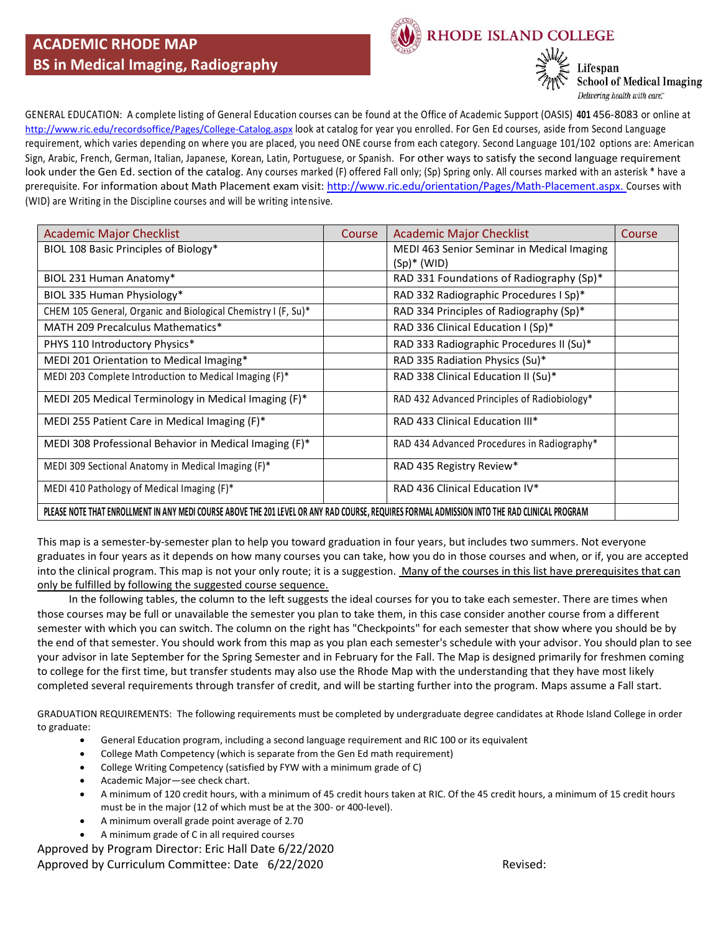

RHODE ISLAND COLLEGE



**School of Medical Imaging** Delivering health with care."

GENERAL EDUCATION: A complete listing of General Education courses can be found at the Office of Academic Support (OASIS) **401** 456-8083 or online at <http://www.ric.edu/recordsoffice/Pages/College-Catalog.aspx> look at catalog for year you enrolled. For Gen Ed courses, aside from Second Language requirement, which varies depending on where you are placed, you need ONE course from each category. Second Language 101/102 options are: American Sign, Arabic, French, German, Italian, Japanese, Korean, Latin, Portuguese, or Spanish. For other ways to satisfy the second language requirement look under the Gen Ed. section of the catalog. Any courses marked (F) offered Fall only; (Sp) Spring only. All courses marked with an asterisk \* have a prerequisite. For information about Math Placement exam visit: [http://www.ric.edu/orientation/Pages/Math-Placement.aspx.](http://www.ric.edu/orientation/Pages/Math-Placement.aspx) Courses with (WID) are Writing in the Discipline courses and will be writing intensive.

| <b>Academic Major Checklist</b>                                                                                                               | Course | <b>Academic Major Checklist</b>              | Course |  |  |
|-----------------------------------------------------------------------------------------------------------------------------------------------|--------|----------------------------------------------|--------|--|--|
| BIOL 108 Basic Principles of Biology*                                                                                                         |        | MEDI 463 Senior Seminar in Medical Imaging   |        |  |  |
|                                                                                                                                               |        | $(Sp)^*$ (WID)                               |        |  |  |
| BIOL 231 Human Anatomy*                                                                                                                       |        | RAD 331 Foundations of Radiography (Sp)*     |        |  |  |
| BIOL 335 Human Physiology*                                                                                                                    |        | RAD 332 Radiographic Procedures I Sp)*       |        |  |  |
| CHEM 105 General, Organic and Biological Chemistry I (F, Su)*                                                                                 |        | RAD 334 Principles of Radiography (Sp)*      |        |  |  |
| MATH 209 Precalculus Mathematics*                                                                                                             |        | RAD 336 Clinical Education I (Sp)*           |        |  |  |
| PHYS 110 Introductory Physics*                                                                                                                |        | RAD 333 Radiographic Procedures II (Su)*     |        |  |  |
| MEDI 201 Orientation to Medical Imaging*                                                                                                      |        | RAD 335 Radiation Physics (Su)*              |        |  |  |
| MEDI 203 Complete Introduction to Medical Imaging (F)*                                                                                        |        | RAD 338 Clinical Education II (Su)*          |        |  |  |
| MEDI 205 Medical Terminology in Medical Imaging (F)*                                                                                          |        | RAD 432 Advanced Principles of Radiobiology* |        |  |  |
| MEDI 255 Patient Care in Medical Imaging (F)*                                                                                                 |        | RAD 433 Clinical Education III*              |        |  |  |
| MEDI 308 Professional Behavior in Medical Imaging (F)*                                                                                        |        | RAD 434 Advanced Procedures in Radiography*  |        |  |  |
| MEDI 309 Sectional Anatomy in Medical Imaging (F)*                                                                                            |        | RAD 435 Registry Review*                     |        |  |  |
| MEDI 410 Pathology of Medical Imaging (F)*                                                                                                    |        | RAD 436 Clinical Education IV*               |        |  |  |
| PLEASE NOTE THAT ENROLLMENT IN ANY MEDI COURSE ABOVE THE 201 LEVEL OR ANY RAD COURSE, REQUIRES FORMAL ADMISSION INTO THE RAD CLINICAL PROGRAM |        |                                              |        |  |  |

This map is a semester-by-semester plan to help you toward graduation in four years, but includes two summers. Not everyone graduates in four years as it depends on how many courses you can take, how you do in those courses and when, or if, you are accepted into the clinical program. This map is not your only route; it is a suggestion. Many of the courses in this list have prerequisites that can only be fulfilled by following the suggested course sequence.

 In the following tables, the column to the left suggests the ideal courses for you to take each semester. There are times when those courses may be full or unavailable the semester you plan to take them, in this case consider another course from a different semester with which you can switch. The column on the right has "Checkpoints" for each semester that show where you should be by the end of that semester. You should work from this map as you plan each semester's schedule with your advisor. You should plan to see your advisor in late September for the Spring Semester and in February for the Fall. The Map is designed primarily for freshmen coming to college for the first time, but transfer students may also use the Rhode Map with the understanding that they have most likely completed several requirements through transfer of credit, and will be starting further into the program. Maps assume a Fall start.

GRADUATION REQUIREMENTS: The following requirements must be completed by undergraduate degree candidates at Rhode Island College in order to graduate:

- General Education program, including a second language requirement and RIC 100 or its equivalent
- College Math Competency (which is separate from the Gen Ed math requirement)
- College Writing Competency (satisfied by FYW with a minimum grade of C)
- Academic Major—see check chart.
- A minimum of 120 credit hours, with a minimum of 45 credit hours taken at RIC. Of the 45 credit hours, a minimum of 15 credit hours must be in the major (12 of which must be at the 300- or 400-level).
- A minimum overall grade point average of 2.70
- A minimum grade of C in all required courses

Approved by Program Director: Eric Hall Date 6/22/2020 Approved by Curriculum Committee: Date 6/22/2020 **Revised:** Revised: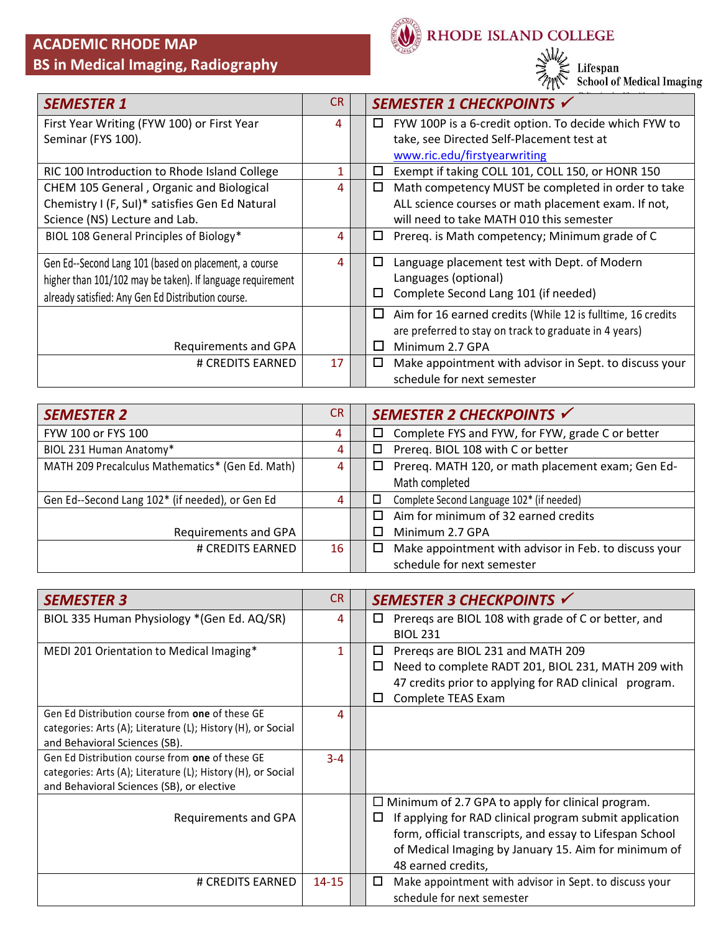

RHODE ISLAND COLLEGE

 $\frac{1}{2}$  Lifespan<br> $\frac{1}{2}$  Chool of Medical Imaging

| <b>SEMESTER 1</b>                                          | CR | SEMESTER 1 CHECKPOINTS √                                         |
|------------------------------------------------------------|----|------------------------------------------------------------------|
| First Year Writing (FYW 100) or First Year                 | 4  | FYW 100P is a 6-credit option. To decide which FYW to<br>□       |
| Seminar (FYS 100).                                         |    | take, see Directed Self-Placement test at                        |
|                                                            |    | www.ric.edu/firstyearwriting                                     |
| RIC 100 Introduction to Rhode Island College               | 1  | Exempt if taking COLL 101, COLL 150, or HONR 150<br>□            |
| CHEM 105 General, Organic and Biological                   | 4  | Math competency MUST be completed in order to take<br>□          |
| Chemistry I (F, SuI)* satisfies Gen Ed Natural             |    | ALL science courses or math placement exam. If not,              |
| Science (NS) Lecture and Lab.                              |    | will need to take MATH 010 this semester                         |
| BIOL 108 General Principles of Biology*                    | 4  | Prereq. is Math competency; Minimum grade of C<br>□              |
| Gen Ed--Second Lang 101 (based on placement, a course      | 4  | Language placement test with Dept. of Modern<br>□                |
| higher than 101/102 may be taken). If language requirement |    | Languages (optional)                                             |
| already satisfied: Any Gen Ed Distribution course.         |    | Complete Second Lang 101 (if needed)<br>□                        |
|                                                            |    | Aim for 16 earned credits (While 12 is fulltime, 16 credits<br>ப |
|                                                            |    | are preferred to stay on track to graduate in 4 years)           |
| Requirements and GPA                                       |    | Minimum 2.7 GPA<br>H                                             |
| # CREDITS EARNED                                           | 17 | Make appointment with advisor in Sept. to discuss your<br>□      |
|                                                            |    | schedule for next semester                                       |

| <b>SEMESTER 2</b>                                | CR. | SEMESTER 2 CHECKPOINTS √                                        |
|--------------------------------------------------|-----|-----------------------------------------------------------------|
| FYW 100 or FYS 100                               | 4   | Complete FYS and FYW, for FYW, grade C or better<br>$\Box$      |
| BIOL 231 Human Anatomy*                          | 4   | Prereq. BIOL 108 with C or better<br>□                          |
| MATH 209 Precalculus Mathematics* (Gen Ed. Math) | 4   | Prereq. MATH 120, or math placement exam; Gen Ed-<br>□          |
|                                                  |     | Math completed                                                  |
| Gen Ed--Second Lang 102* (if needed), or Gen Ed  | 4   | Complete Second Language 102* (if needed)                       |
|                                                  |     | Aim for minimum of 32 earned credits<br>П                       |
| Requirements and GPA                             |     | Minimum 2.7 GPA                                                 |
| # CREDITS EARNED                                 | 16  | Make appointment with advisor in Feb. to discuss your<br>$\Box$ |
|                                                  |     | schedule for next semester                                      |

| <b>SEMESTER 3</b>                                            | CR.       | SEMESTER 3 CHECKPOINTS √                                     |
|--------------------------------------------------------------|-----------|--------------------------------------------------------------|
| BIOL 335 Human Physiology * (Gen Ed. AQ/SR)                  | 4         | Preregs are BIOL 108 with grade of C or better, and<br>□     |
|                                                              |           | <b>BIOL 231</b>                                              |
| MEDI 201 Orientation to Medical Imaging*                     | 1         | Prereqs are BIOL 231 and MATH 209<br>□                       |
|                                                              |           | Need to complete RADT 201, BIOL 231, MATH 209 with<br>□      |
|                                                              |           | 47 credits prior to applying for RAD clinical program.       |
|                                                              |           | Complete TEAS Exam<br>□                                      |
| Gen Ed Distribution course from one of these GE              | 4         |                                                              |
| categories: Arts (A); Literature (L); History (H), or Social |           |                                                              |
| and Behavioral Sciences (SB).                                |           |                                                              |
| Gen Ed Distribution course from one of these GE              | $3 - 4$   |                                                              |
| categories: Arts (A); Literature (L); History (H), or Social |           |                                                              |
| and Behavioral Sciences (SB), or elective                    |           |                                                              |
|                                                              |           | $\Box$ Minimum of 2.7 GPA to apply for clinical program.     |
| Requirements and GPA                                         |           | If applying for RAD clinical program submit application<br>□ |
|                                                              |           | form, official transcripts, and essay to Lifespan School     |
|                                                              |           | of Medical Imaging by January 15. Aim for minimum of         |
|                                                              |           | 48 earned credits,                                           |
| # CREDITS EARNED                                             | $14 - 15$ | Make appointment with advisor in Sept. to discuss your<br>□  |
|                                                              |           | schedule for next semester                                   |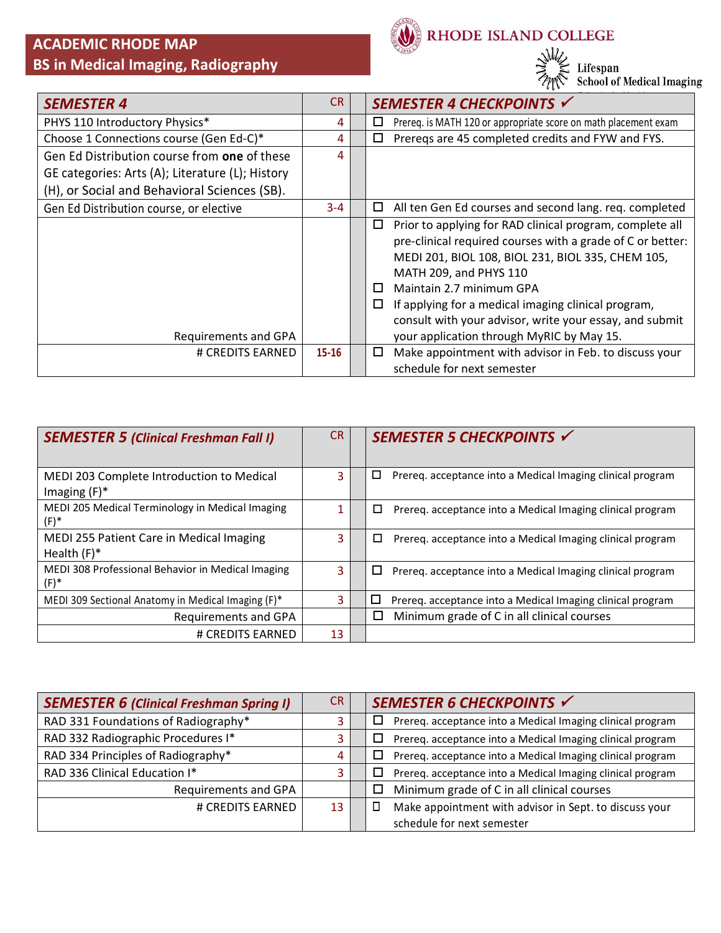

RHODE ISLAND COLLEGE



| <b>SEMESTER 4</b>                                | <b>CR</b> | SEMESTER 4 CHECKPOINTS √                                             |
|--------------------------------------------------|-----------|----------------------------------------------------------------------|
| PHYS 110 Introductory Physics*                   | 4         | Prereq. is MATH 120 or appropriate score on math placement exam<br>□ |
| Choose 1 Connections course (Gen Ed-C)*          | 4         | Preregs are 45 completed credits and FYW and FYS.<br>□               |
| Gen Ed Distribution course from one of these     | 4         |                                                                      |
| GE categories: Arts (A); Literature (L); History |           |                                                                      |
| (H), or Social and Behavioral Sciences (SB).     |           |                                                                      |
| Gen Ed Distribution course, or elective          | $3 - 4$   | All ten Gen Ed courses and second lang. req. completed<br>□          |
|                                                  |           | Prior to applying for RAD clinical program, complete all<br>□        |
|                                                  |           | pre-clinical required courses with a grade of C or better:           |
|                                                  |           | MEDI 201, BIOL 108, BIOL 231, BIOL 335, CHEM 105,                    |
|                                                  |           | MATH 209, and PHYS 110                                               |
|                                                  |           | Maintain 2.7 minimum GPA<br>□                                        |
|                                                  |           | If applying for a medical imaging clinical program,<br>□             |
|                                                  |           | consult with your advisor, write your essay, and submit              |
| Requirements and GPA                             |           | your application through MyRIC by May 15.                            |
| # CREDITS EARNED                                 | $15 - 16$ | Make appointment with advisor in Feb. to discuss your<br>□           |
|                                                  |           | schedule for next semester                                           |

| <b>SEMESTER 5 (Clinical Freshman Fall I)</b>                 | <b>CR</b> | SEMESTER 5 CHECKPOINTS √                                        |
|--------------------------------------------------------------|-----------|-----------------------------------------------------------------|
| MEDI 203 Complete Introduction to Medical<br>Imaging $(F)^*$ | 3         | Prereq. acceptance into a Medical Imaging clinical program<br>□ |
| MEDI 205 Medical Terminology in Medical Imaging<br>$(F)^*$   | 1         | □<br>Prereg. acceptance into a Medical Imaging clinical program |
| MEDI 255 Patient Care in Medical Imaging<br>Health $(F)^*$   | 3         | □<br>Prereq. acceptance into a Medical Imaging clinical program |
| MEDI 308 Professional Behavior in Medical Imaging<br>$(F)^*$ | 3         | □<br>Prereq. acceptance into a Medical Imaging clinical program |
| MEDI 309 Sectional Anatomy in Medical Imaging (F)*           | 3         | □<br>Prereq. acceptance into a Medical Imaging clinical program |
| Requirements and GPA                                         |           | □<br>Minimum grade of C in all clinical courses                 |
| # CREDITS EARNED                                             | 13        |                                                                 |

| <b>SEMESTER 6 (Clinical Freshman Spring I)</b> | CR. | SEMESTER 6 CHECKPOINTS √                                             |
|------------------------------------------------|-----|----------------------------------------------------------------------|
| RAD 331 Foundations of Radiography*            |     | Prereq. acceptance into a Medical Imaging clinical program<br>ப      |
| RAD 332 Radiographic Procedures I*             |     | Prereq. acceptance into a Medical Imaging clinical program<br>ப      |
| RAD 334 Principles of Radiography*             | 4   | Prereq. acceptance into a Medical Imaging clinical program<br>$\Box$ |
| RAD 336 Clinical Education I*                  | 3   | Prereq. acceptance into a Medical Imaging clinical program<br>ப      |
| Requirements and GPA                           |     | Minimum grade of C in all clinical courses<br>□                      |
| # CREDITS EARNED                               | 13  | Make appointment with advisor in Sept. to discuss your               |
|                                                |     | schedule for next semester                                           |